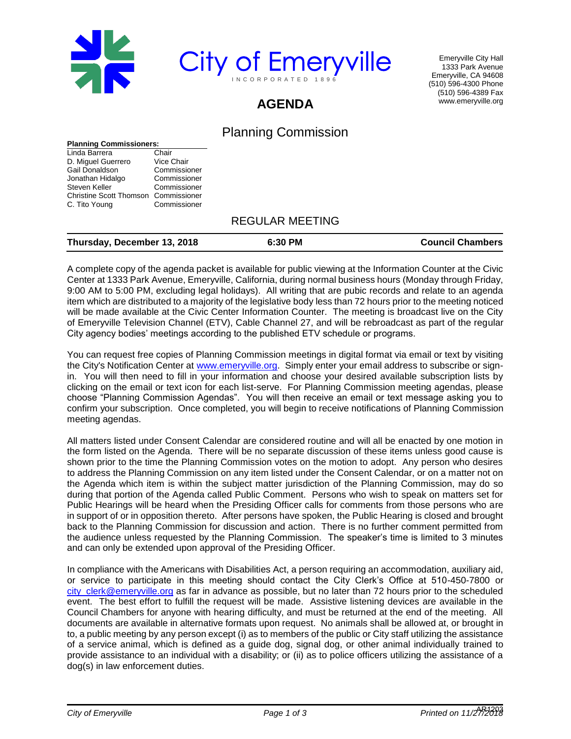



Emeryville City Hall 1333 Park Avenue Emeryville, CA 94608 (510) 596-4300 Phone (510) 596-4389 Fax www.emeryville.org

# **AGENDA**

## Planning Commission

#### **Planning Commissioners:**

| Chair                                       |
|---------------------------------------------|
| Vice Chair                                  |
| Commissioner                                |
| Commissioner                                |
| Commissioner                                |
| <b>Christine Scott Thomson Commissioner</b> |
| Commissioner                                |
|                                             |

### REGULAR MEETING

| Thursday, December 13, 2018 | 6:30 PM | <b>Council Chambers</b> |
|-----------------------------|---------|-------------------------|
|-----------------------------|---------|-------------------------|

A complete copy of the agenda packet is available for public viewing at the Information Counter at the Civic Center at 1333 Park Avenue, Emeryville, California, during normal business hours (Monday through Friday, 9:00 AM to 5:00 PM, excluding legal holidays). All writing that are pubic records and relate to an agenda item which are distributed to a majority of the legislative body less than 72 hours prior to the meeting noticed will be made available at the Civic Center Information Counter. The meeting is broadcast live on the City of Emeryville Television Channel (ETV), Cable Channel 27, and will be rebroadcast as part of the regular City agency bodies' meetings according to the published ETV schedule or programs.

You can request free copies of Planning Commission meetings in digital format via email or text by visiting the City's Notification Center at [www.emeryville.org.](http://emeryville.org/list.aspx) Simply enter your email address to subscribe or signin. You will then need to fill in your information and choose your desired available subscription lists by clicking on the email or text icon for each list-serve. For Planning Commission meeting agendas, please choose "Planning Commission Agendas". You will then receive an email or text message asking you to confirm your subscription. Once completed, you will begin to receive notifications of Planning Commission meeting agendas.

All matters listed under Consent Calendar are considered routine and will all be enacted by one motion in the form listed on the Agenda. There will be no separate discussion of these items unless good cause is shown prior to the time the Planning Commission votes on the motion to adopt. Any person who desires to address the Planning Commission on any item listed under the Consent Calendar, or on a matter not on the Agenda which item is within the subject matter jurisdiction of the Planning Commission, may do so during that portion of the Agenda called Public Comment. Persons who wish to speak on matters set for Public Hearings will be heard when the Presiding Officer calls for comments from those persons who are in support of or in opposition thereto. After persons have spoken, the Public Hearing is closed and brought back to the Planning Commission for discussion and action. There is no further comment permitted from the audience unless requested by the Planning Commission. The speaker's time is limited to 3 minutes and can only be extended upon approval of the Presiding Officer.

In compliance with the Americans with Disabilities Act, a person requiring an accommodation, auxiliary aid, or service to participate in this meeting should contact the City Clerk's Office at 510-450-7800 or [city\\_clerk@emeryville.org](mailto:city_clerk@emeryville.org) as far in advance as possible, but no later than 72 hours prior to the scheduled event. The best effort to fulfill the request will be made. Assistive listening devices are available in the Council Chambers for anyone with hearing difficulty, and must be returned at the end of the meeting. All documents are available in alternative formats upon request. No animals shall be allowed at, or brought in to, a public meeting by any person except (i) as to members of the public or City staff utilizing the assistance of a service animal, which is defined as a guide dog, signal dog, or other animal individually trained to provide assistance to an individual with a disability; or (ii) as to police officers utilizing the assistance of a dog(s) in law enforcement duties.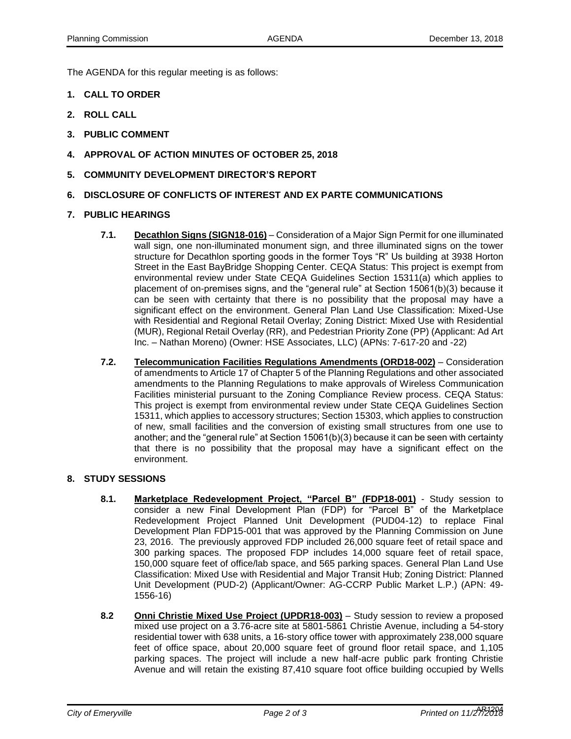The AGENDA for this regular meeting is as follows:

- **1. CALL TO ORDER**
- **2. ROLL CALL**
- **3. PUBLIC COMMENT**
- **4. APPROVAL OF ACTION MINUTES OF OCTOBER 25, 2018**
- **5. COMMUNITY DEVELOPMENT DIRECTOR'S REPORT**
- **6. DISCLOSURE OF CONFLICTS OF INTEREST AND EX PARTE COMMUNICATIONS**
- **7. PUBLIC HEARINGS**
	- **7.1. Decathlon Signs (SIGN18-016)** Consideration of a Major Sign Permit for one illuminated wall sign, one non-illuminated monument sign, and three illuminated signs on the tower structure for Decathlon sporting goods in the former Toys "R" Us building at 3938 Horton Street in the East BayBridge Shopping Center. CEQA Status: This project is exempt from environmental review under State CEQA Guidelines Section 15311(a) which applies to placement of on-premises signs, and the "general rule" at Section 15061(b)(3) because it can be seen with certainty that there is no possibility that the proposal may have a significant effect on the environment. General Plan Land Use Classification: Mixed-Use with Residential and Regional Retail Overlay; Zoning District: Mixed Use with Residential (MUR), Regional Retail Overlay (RR), and Pedestrian Priority Zone (PP) (Applicant: Ad Art Inc. – Nathan Moreno) (Owner: HSE Associates, LLC) (APNs: 7-617-20 and -22)
	- **7.2. Telecommunication Facilities Regulations Amendments (ORD18-002)** Consideration of amendments to Article 17 of Chapter 5 of the Planning Regulations and other associated amendments to the Planning Regulations to make approvals of Wireless Communication Facilities ministerial pursuant to the Zoning Compliance Review process. CEQA Status: This project is exempt from environmental review under State CEQA Guidelines Section 15311, which applies to accessory structures; Section 15303, which applies to construction of new, small facilities and the conversion of existing small structures from one use to another; and the "general rule" at Section 15061(b)(3) because it can be seen with certainty that there is no possibility that the proposal may have a significant effect on the environment.

#### **8. STUDY SESSIONS**

- **8.1. Marketplace Redevelopment Project, "Parcel B" (FDP18-001)** Study session to consider a new Final Development Plan (FDP) for "Parcel B" of the Marketplace Redevelopment Project Planned Unit Development (PUD04-12) to replace Final Development Plan FDP15-001 that was approved by the Planning Commission on June 23, 2016. The previously approved FDP included 26,000 square feet of retail space and 300 parking spaces. The proposed FDP includes 14,000 square feet of retail space, 150,000 square feet of office/lab space, and 565 parking spaces. General Plan Land Use Classification: Mixed Use with Residential and Major Transit Hub; Zoning District: Planned Unit Development (PUD-2) (Applicant/Owner: AG-CCRP Public Market L.P.) (APN: 49- 1556-16)
- **8.2 Onni Christie Mixed Use Project (UPDR18-003)** Study session to review a proposed mixed use project on a 3.76-acre site at 5801-5861 Christie Avenue, including a 54-story residential tower with 638 units, a 16-story office tower with approximately 238,000 square feet of office space, about 20,000 square feet of ground floor retail space, and 1,105 parking spaces. The project will include a new half-acre public park fronting Christie Avenue and will retain the existing 87,410 square foot office building occupied by Wells